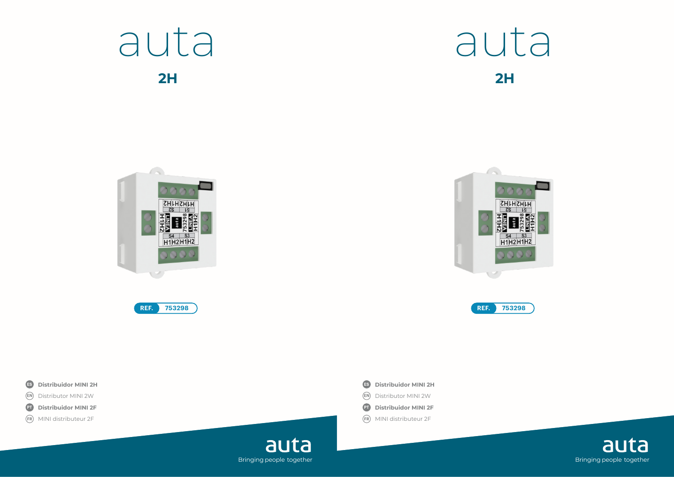

**2H 2H**











- **EN EN**
- **PT** Distribuidor MINI 2F
- **FR FR**





auta